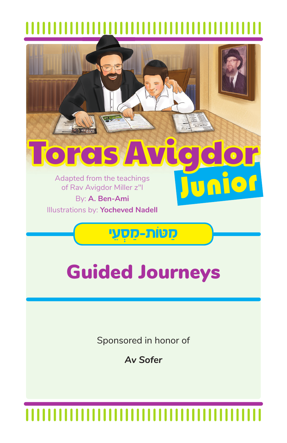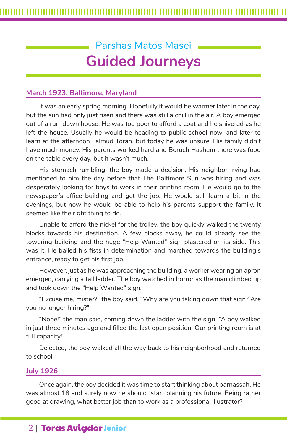# Parshas Matos Masei **Guided Journeys**

### **March 1923, Baltimore, Maryland**

It was an early spring morning. Hopefully it would be warmer later in the day, but the sun had only just risen and there was still a chill in the air. A boy emerged out of a run-down house. He was too poor to afford a coat and he shivered as he left the house. Usually he would be heading to public school now, and later to learn at the afternoon Talmud Torah, but today he was unsure. His family didn't have much money. His parents worked hard and Boruch Hashem there was food on the table every day, but it wasn't much.

His stomach rumbling, the boy made a decision. His neighbor Irving had mentioned to him the day before that The Baltimore Sun was hiring and was desperately looking for boys to work in their printing room. He would go to the newspaper's office building and get the job. He would still learn a bit in the evenings, but now he would be able to help his parents support the family. It seemed like the right thing to do.

Unable to afford the nickel for the trolley, the boy quickly walked the twenty blocks towards his destination. A few blocks away, he could already see the towering building and the huge "Help Wanted" sign plastered on its side. This was it. He balled his fists in determination and marched towards the building's entrance, ready to get his first job.

However, just as he was approaching the building, a worker wearing an apron emerged, carrying a tall ladder. The boy watched in horror as the man climbed up and took down the "Help Wanted" sign.

"Excuse me, mister?" the boy said. "Why are you taking down that sign? Are you no longer hiring?"

"Nope!" the man said, coming down the ladder with the sign. "A boy walked in just three minutes ago and filled the last open position. Our printing room is at full capacity!"

Dejected, the boy walked all the way back to his neighborhood and returned to school.

#### **July 1926**

Once again, the boy decided it was time to start thinking about parnassah. He was almost 18 and surely now he should start planning his future. Being rather good at drawing, what better job than to work as a professional illustrator?

## 2 | Toras Avigdor Junior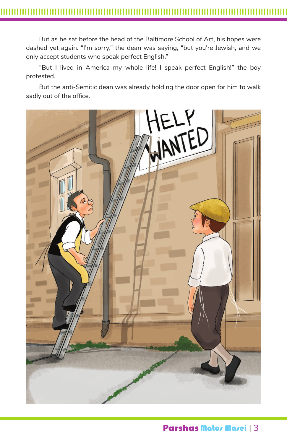But as he sat before the head of the Baltimore School of Art, his hopes were dashed yet again. "I'm sorry," the dean was saying, "but you're Jewish, and we only accept students who speak perfect English."

"But I lived in America my whole life! I speak perfect English!" the boy protested.

But the anti-Semitic dean was already holding the door open for him to walk sadly out of the office.